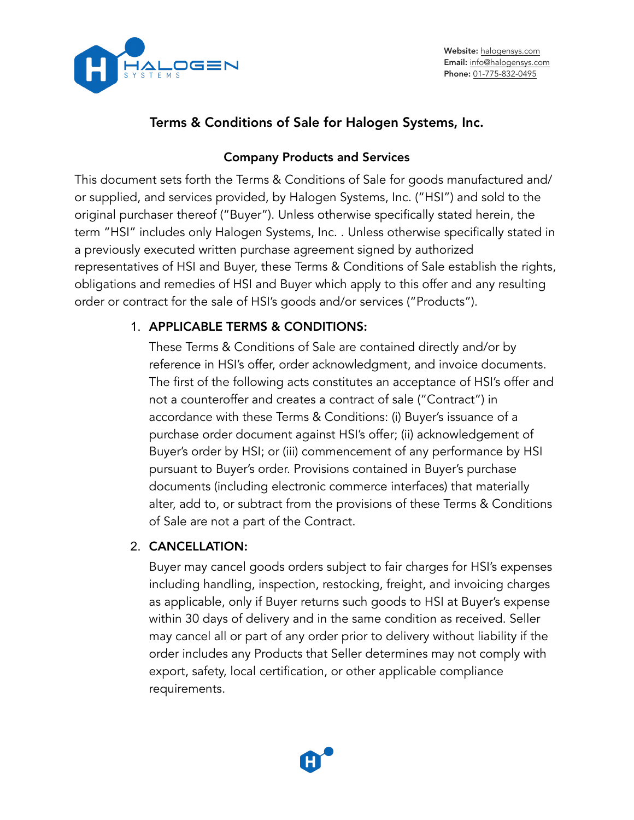

Website: [halogensys.com](https://halogensys.com) Email: [info@halogensys.com](mailto:info@halogensys.com) Phone: [01-775-832-0495](tel:01-775-832-0495)

# Terms & Conditions of Sale for Halogen Systems, Inc.

## Company Products and Services

This document sets forth the Terms & Conditions of Sale for goods manufactured and/ or supplied, and services provided, by Halogen Systems, Inc. ("HSI") and sold to the original purchaser thereof ("Buyer"). Unless otherwise specifically stated herein, the term "HSI" includes only Halogen Systems, Inc. . Unless otherwise specifically stated in a previously executed written purchase agreement signed by authorized representatives of HSI and Buyer, these Terms & Conditions of Sale establish the rights, obligations and remedies of HSI and Buyer which apply to this offer and any resulting order or contract for the sale of HSI's goods and/or services ("Products").

## 1. APPLICABLE TERMS & CONDITIONS:

These Terms & Conditions of Sale are contained directly and/or by reference in HSI's offer, order acknowledgment, and invoice documents. The first of the following acts constitutes an acceptance of HSI's offer and not a counteroffer and creates a contract of sale ("Contract") in accordance with these Terms & Conditions: (i) Buyer's issuance of a purchase order document against HSI's offer; (ii) acknowledgement of Buyer's order by HSI; or (iii) commencement of any performance by HSI pursuant to Buyer's order. Provisions contained in Buyer's purchase documents (including electronic commerce interfaces) that materially alter, add to, or subtract from the provisions of these Terms & Conditions of Sale are not a part of the Contract.

## 2. CANCELLATION:

Buyer may cancel goods orders subject to fair charges for HSI's expenses including handling, inspection, restocking, freight, and invoicing charges as applicable, only if Buyer returns such goods to HSI at Buyer's expense within 30 days of delivery and in the same condition as received. Seller may cancel all or part of any order prior to delivery without liability if the order includes any Products that Seller determines may not comply with export, safety, local certification, or other applicable compliance requirements.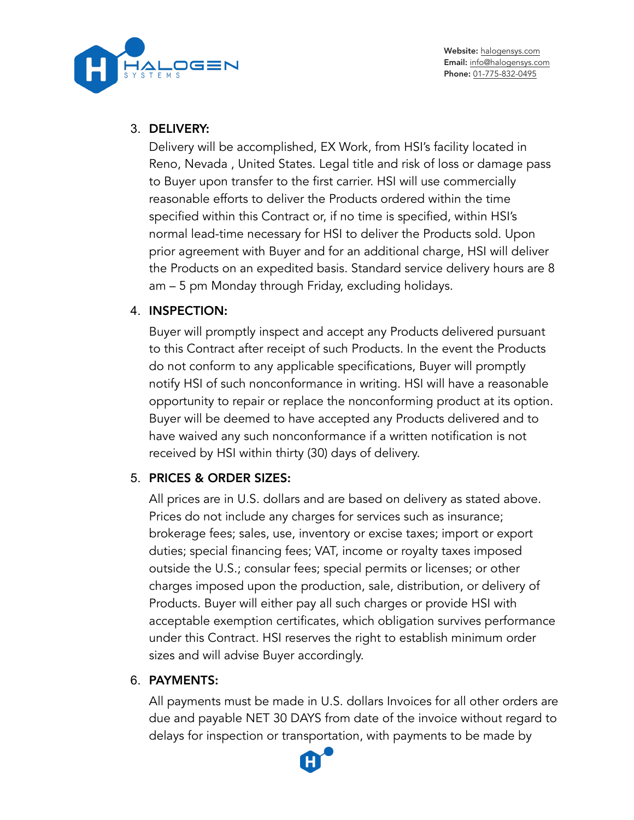

#### 3. DELIVERY:

Delivery will be accomplished, EX Work, from HSI's facility located in Reno, Nevada , United States. Legal title and risk of loss or damage pass to Buyer upon transfer to the first carrier. HSI will use commercially reasonable efforts to deliver the Products ordered within the time specified within this Contract or, if no time is specified, within HSI's normal lead-time necessary for HSI to deliver the Products sold. Upon prior agreement with Buyer and for an additional charge, HSI will deliver the Products on an expedited basis. Standard service delivery hours are 8 am – 5 pm Monday through Friday, excluding holidays.

### 4. INSPECTION:

Buyer will promptly inspect and accept any Products delivered pursuant to this Contract after receipt of such Products. In the event the Products do not conform to any applicable specifications, Buyer will promptly notify HSI of such nonconformance in writing. HSI will have a reasonable opportunity to repair or replace the nonconforming product at its option. Buyer will be deemed to have accepted any Products delivered and to have waived any such nonconformance if a written notification is not received by HSI within thirty (30) days of delivery.

## 5. PRICES & ORDER SIZES:

All prices are in U.S. dollars and are based on delivery as stated above. Prices do not include any charges for services such as insurance; brokerage fees; sales, use, inventory or excise taxes; import or export duties; special financing fees; VAT, income or royalty taxes imposed outside the U.S.; consular fees; special permits or licenses; or other charges imposed upon the production, sale, distribution, or delivery of Products. Buyer will either pay all such charges or provide HSI with acceptable exemption certificates, which obligation survives performance under this Contract. HSI reserves the right to establish minimum order sizes and will advise Buyer accordingly.

### 6. PAYMENTS:

All payments must be made in U.S. dollars Invoices for all other orders are due and payable NET 30 DAYS from date of the invoice without regard to delays for inspection or transportation, with payments to be made by

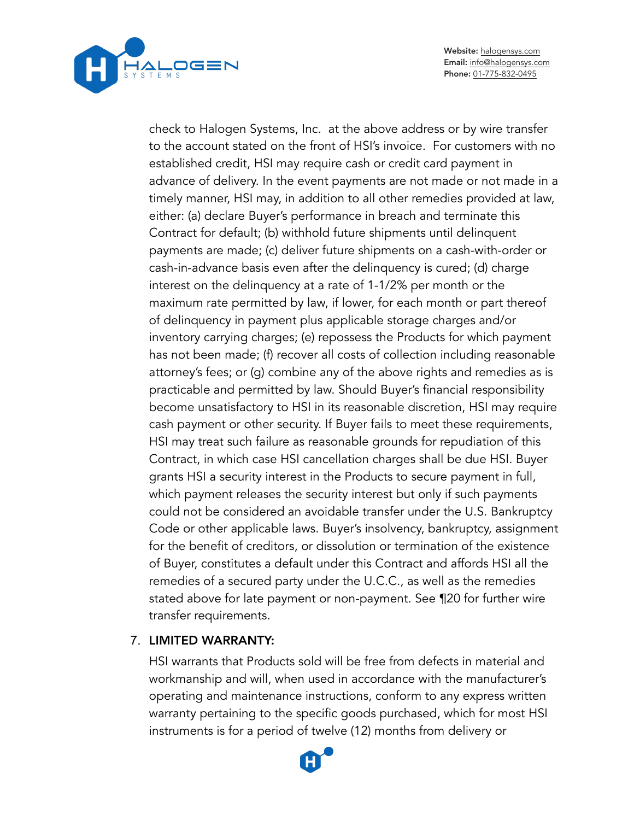

Website: [halogensys.com](https://halogensys.com) Email: [info@halogensys.com](mailto:info@halogensys.com) Phone: [01-775-832-0495](tel:01-775-832-0495)

check to Halogen Systems, Inc. at the above address or by wire transfer to the account stated on the front of HSI's invoice. For customers with no established credit, HSI may require cash or credit card payment in advance of delivery. In the event payments are not made or not made in a timely manner, HSI may, in addition to all other remedies provided at law, either: (a) declare Buyer's performance in breach and terminate this Contract for default; (b) withhold future shipments until delinquent payments are made; (c) deliver future shipments on a cash-with-order or cash-in-advance basis even after the delinquency is cured; (d) charge interest on the delinquency at a rate of 1-1/2% per month or the maximum rate permitted by law, if lower, for each month or part thereof of delinquency in payment plus applicable storage charges and/or inventory carrying charges; (e) repossess the Products for which payment has not been made; (f) recover all costs of collection including reasonable attorney's fees; or (g) combine any of the above rights and remedies as is practicable and permitted by law. Should Buyer's financial responsibility become unsatisfactory to HSI in its reasonable discretion, HSI may require cash payment or other security. If Buyer fails to meet these requirements, HSI may treat such failure as reasonable grounds for repudiation of this Contract, in which case HSI cancellation charges shall be due HSI. Buyer grants HSI a security interest in the Products to secure payment in full, which payment releases the security interest but only if such payments could not be considered an avoidable transfer under the U.S. Bankruptcy Code or other applicable laws. Buyer's insolvency, bankruptcy, assignment for the benefit of creditors, or dissolution or termination of the existence of Buyer, constitutes a default under this Contract and affords HSI all the remedies of a secured party under the U.C.C., as well as the remedies stated above for late payment or non-payment. See ¶20 for further wire transfer requirements.

### 7. LIMITED WARRANTY:

HSI warrants that Products sold will be free from defects in material and workmanship and will, when used in accordance with the manufacturer's operating and maintenance instructions, conform to any express written warranty pertaining to the specific goods purchased, which for most HSI instruments is for a period of twelve (12) months from delivery or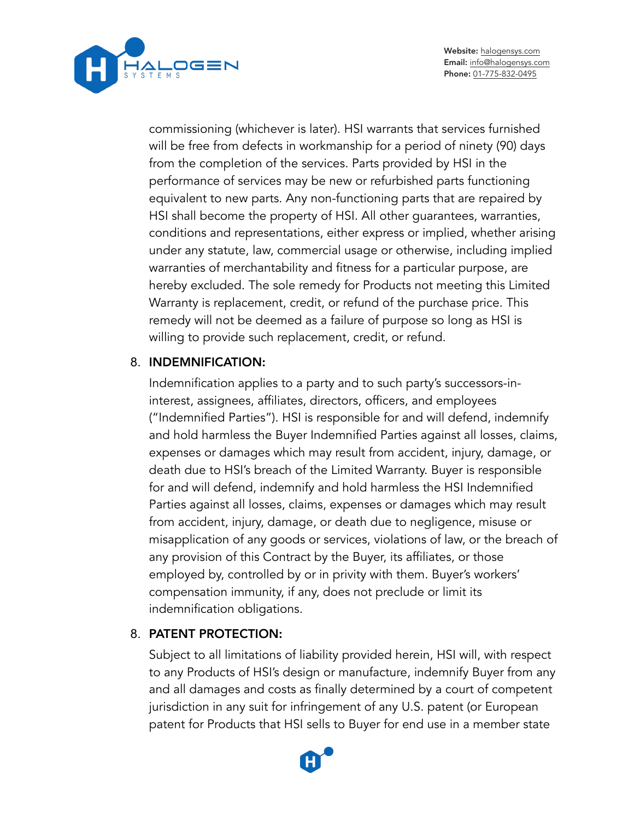

commissioning (whichever is later). HSI warrants that services furnished will be free from defects in workmanship for a period of ninety (90) days from the completion of the services. Parts provided by HSI in the performance of services may be new or refurbished parts functioning equivalent to new parts. Any non-functioning parts that are repaired by HSI shall become the property of HSI. All other guarantees, warranties, conditions and representations, either express or implied, whether arising under any statute, law, commercial usage or otherwise, including implied warranties of merchantability and fitness for a particular purpose, are hereby excluded. The sole remedy for Products not meeting this Limited Warranty is replacement, credit, or refund of the purchase price. This remedy will not be deemed as a failure of purpose so long as HSI is willing to provide such replacement, credit, or refund.

### 8. INDEMNIFICATION:

Indemnification applies to a party and to such party's successors-ininterest, assignees, affiliates, directors, officers, and employees ("Indemnified Parties"). HSI is responsible for and will defend, indemnify and hold harmless the Buyer Indemnified Parties against all losses, claims, expenses or damages which may result from accident, injury, damage, or death due to HSI's breach of the Limited Warranty. Buyer is responsible for and will defend, indemnify and hold harmless the HSI Indemnified Parties against all losses, claims, expenses or damages which may result from accident, injury, damage, or death due to negligence, misuse or misapplication of any goods or services, violations of law, or the breach of any provision of this Contract by the Buyer, its affiliates, or those employed by, controlled by or in privity with them. Buyer's workers' compensation immunity, if any, does not preclude or limit its indemnification obligations.

## 8. PATENT PROTECTION:

Subject to all limitations of liability provided herein, HSI will, with respect to any Products of HSI's design or manufacture, indemnify Buyer from any and all damages and costs as finally determined by a court of competent jurisdiction in any suit for infringement of any U.S. patent (or European patent for Products that HSI sells to Buyer for end use in a member state

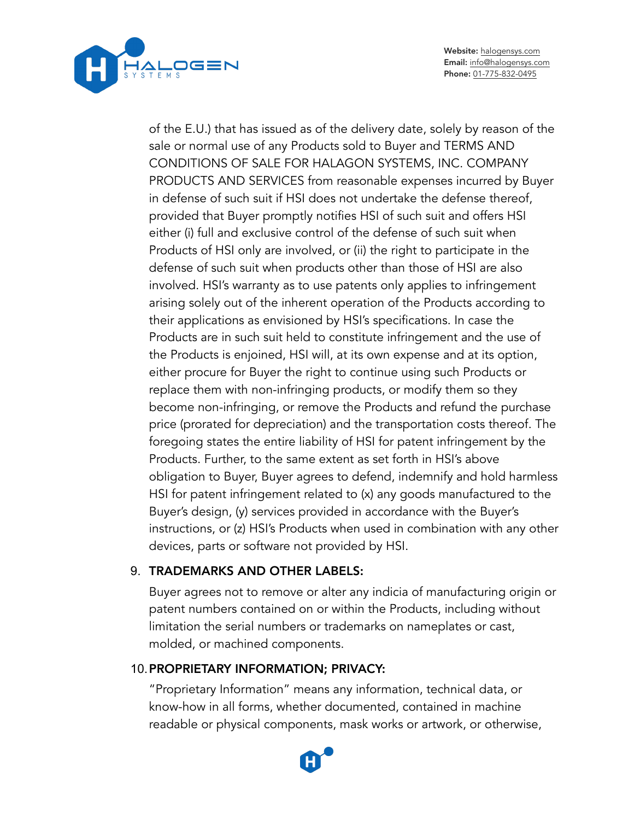

Website: [halogensys.com](https://halogensys.com) Email: [info@halogensys.com](mailto:info@halogensys.com) Phone: [01-775-832-0495](tel:01-775-832-0495)

of the E.U.) that has issued as of the delivery date, solely by reason of the sale or normal use of any Products sold to Buyer and TERMS AND CONDITIONS OF SALE FOR HALAGON SYSTEMS, INC. COMPANY PRODUCTS AND SERVICES from reasonable expenses incurred by Buyer in defense of such suit if HSI does not undertake the defense thereof, provided that Buyer promptly notifies HSI of such suit and offers HSI either (i) full and exclusive control of the defense of such suit when Products of HSI only are involved, or (ii) the right to participate in the defense of such suit when products other than those of HSI are also involved. HSI's warranty as to use patents only applies to infringement arising solely out of the inherent operation of the Products according to their applications as envisioned by HSI's specifications. In case the Products are in such suit held to constitute infringement and the use of the Products is enjoined, HSI will, at its own expense and at its option, either procure for Buyer the right to continue using such Products or replace them with non-infringing products, or modify them so they become non-infringing, or remove the Products and refund the purchase price (prorated for depreciation) and the transportation costs thereof. The foregoing states the entire liability of HSI for patent infringement by the Products. Further, to the same extent as set forth in HSI's above obligation to Buyer, Buyer agrees to defend, indemnify and hold harmless HSI for patent infringement related to (x) any goods manufactured to the Buyer's design, (y) services provided in accordance with the Buyer's instructions, or (z) HSI's Products when used in combination with any other devices, parts or software not provided by HSI.

### 9. TRADEMARKS AND OTHER LABELS:

Buyer agrees not to remove or alter any indicia of manufacturing origin or patent numbers contained on or within the Products, including without limitation the serial numbers or trademarks on nameplates or cast, molded, or machined components.

#### 10.PROPRIETARY INFORMATION; PRIVACY:

"Proprietary Information" means any information, technical data, or know-how in all forms, whether documented, contained in machine readable or physical components, mask works or artwork, or otherwise,

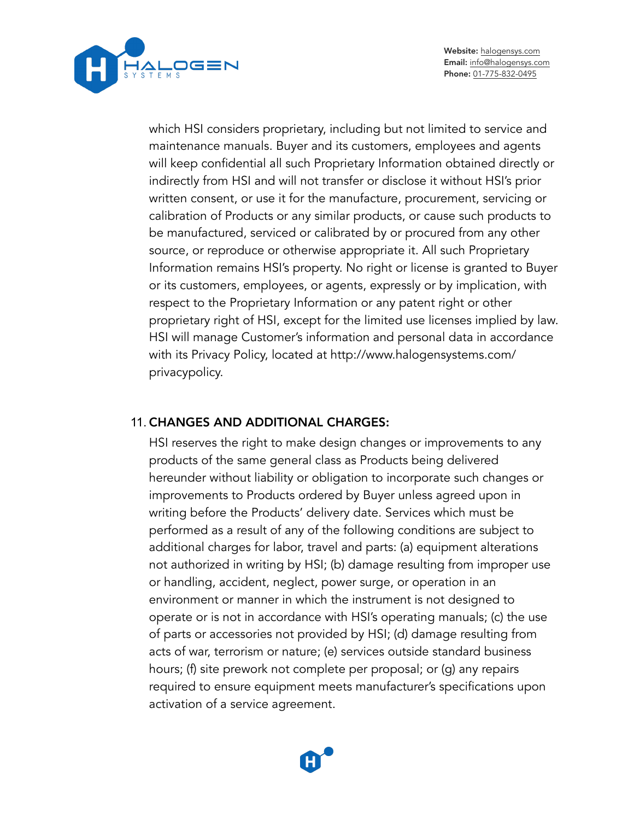



which HSI considers proprietary, including but not limited to service and maintenance manuals. Buyer and its customers, employees and agents will keep confidential all such Proprietary Information obtained directly or indirectly from HSI and will not transfer or disclose it without HSI's prior written consent, or use it for the manufacture, procurement, servicing or calibration of Products or any similar products, or cause such products to be manufactured, serviced or calibrated by or procured from any other source, or reproduce or otherwise appropriate it. All such Proprietary Information remains HSI's property. No right or license is granted to Buyer or its customers, employees, or agents, expressly or by implication, with respect to the Proprietary Information or any patent right or other proprietary right of HSI, except for the limited use licenses implied by law. HSI will manage Customer's information and personal data in accordance with its Privacy Policy, located at<http://www.halogensystems.com>/ privacypolicy.

#### 11. CHANGES AND ADDITIONAL CHARGES:

HSI reserves the right to make design changes or improvements to any products of the same general class as Products being delivered hereunder without liability or obligation to incorporate such changes or improvements to Products ordered by Buyer unless agreed upon in writing before the Products' delivery date. Services which must be performed as a result of any of the following conditions are subject to additional charges for labor, travel and parts: (a) equipment alterations not authorized in writing by HSI; (b) damage resulting from improper use or handling, accident, neglect, power surge, or operation in an environment or manner in which the instrument is not designed to operate or is not in accordance with HSI's operating manuals; (c) the use of parts or accessories not provided by HSI; (d) damage resulting from acts of war, terrorism or nature; (e) services outside standard business hours; (f) site prework not complete per proposal; or (g) any repairs required to ensure equipment meets manufacturer's specifications upon activation of a service agreement.

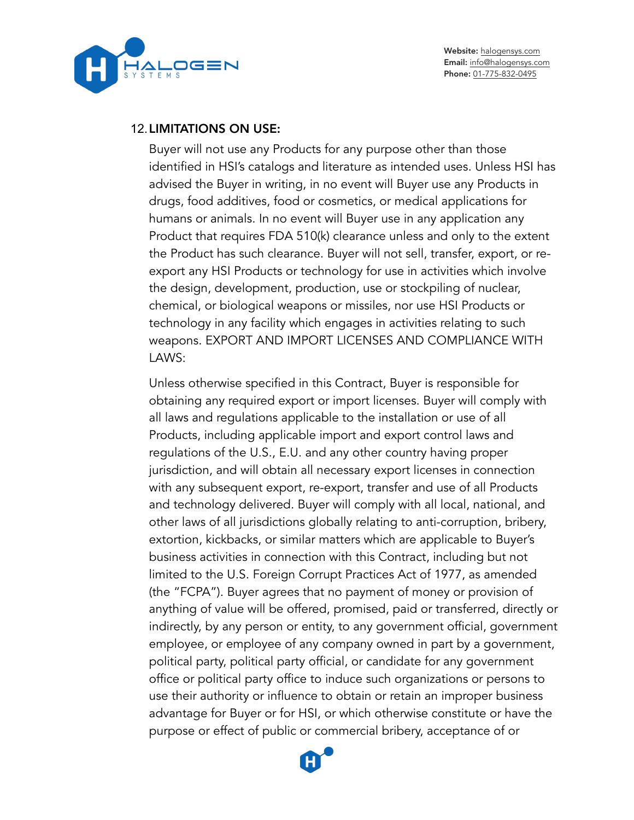OGEN

Website: [halogensys.com](https://halogensys.com) Email: [info@halogensys.com](mailto:info@halogensys.com) Phone: [01-775-832-0495](tel:01-775-832-0495)

#### 12.LIMITATIONS ON USE:

Buyer will not use any Products for any purpose other than those identified in HSI's catalogs and literature as intended uses. Unless HSI has advised the Buyer in writing, in no event will Buyer use any Products in drugs, food additives, food or cosmetics, or medical applications for humans or animals. In no event will Buyer use in any application any Product that requires FDA 510(k) clearance unless and only to the extent the Product has such clearance. Buyer will not sell, transfer, export, or reexport any HSI Products or technology for use in activities which involve the design, development, production, use or stockpiling of nuclear, chemical, or biological weapons or missiles, nor use HSI Products or technology in any facility which engages in activities relating to such weapons. EXPORT AND IMPORT LICENSES AND COMPLIANCE WITH LAWS:

Unless otherwise specified in this Contract, Buyer is responsible for obtaining any required export or import licenses. Buyer will comply with all laws and regulations applicable to the installation or use of all Products, including applicable import and export control laws and regulations of the U.S., E.U. and any other country having proper jurisdiction, and will obtain all necessary export licenses in connection with any subsequent export, re-export, transfer and use of all Products and technology delivered. Buyer will comply with all local, national, and other laws of all jurisdictions globally relating to anti-corruption, bribery, extortion, kickbacks, or similar matters which are applicable to Buyer's business activities in connection with this Contract, including but not limited to the U.S. Foreign Corrupt Practices Act of 1977, as amended (the "FCPA"). Buyer agrees that no payment of money or provision of anything of value will be offered, promised, paid or transferred, directly or indirectly, by any person or entity, to any government official, government employee, or employee of any company owned in part by a government, political party, political party official, or candidate for any government office or political party office to induce such organizations or persons to use their authority or influence to obtain or retain an improper business advantage for Buyer or for HSI, or which otherwise constitute or have the purpose or effect of public or commercial bribery, acceptance of or

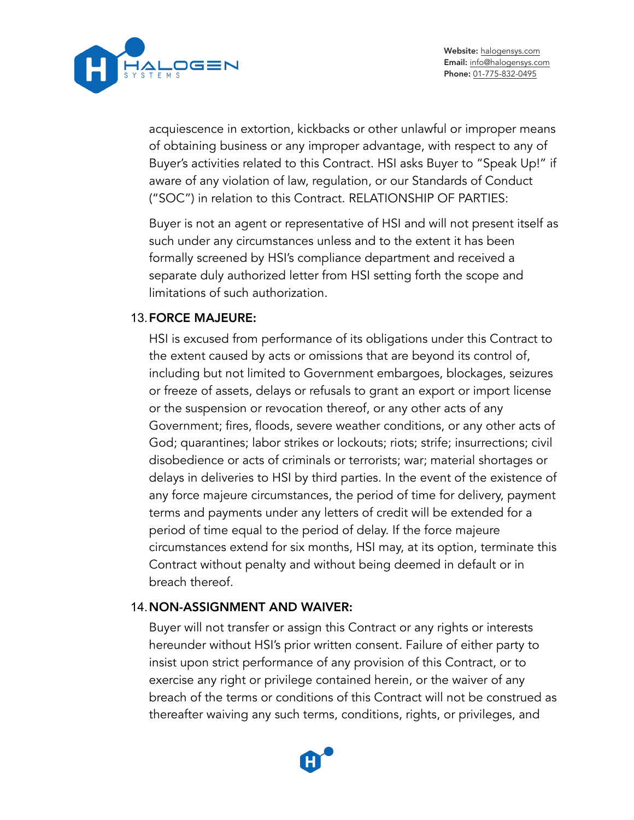

acquiescence in extortion, kickbacks or other unlawful or improper means of obtaining business or any improper advantage, with respect to any of Buyer's activities related to this Contract. HSI asks Buyer to "Speak Up!" if aware of any violation of law, regulation, or our Standards of Conduct ("SOC") in relation to this Contract. RELATIONSHIP OF PARTIES:

Buyer is not an agent or representative of HSI and will not present itself as such under any circumstances unless and to the extent it has been formally screened by HSI's compliance department and received a separate duly authorized letter from HSI setting forth the scope and limitations of such authorization.

#### 13.FORCE MAJEURE:

HSI is excused from performance of its obligations under this Contract to the extent caused by acts or omissions that are beyond its control of, including but not limited to Government embargoes, blockages, seizures or freeze of assets, delays or refusals to grant an export or import license or the suspension or revocation thereof, or any other acts of any Government; fires, floods, severe weather conditions, or any other acts of God; quarantines; labor strikes or lockouts; riots; strife; insurrections; civil disobedience or acts of criminals or terrorists; war; material shortages or delays in deliveries to HSI by third parties. In the event of the existence of any force majeure circumstances, the period of time for delivery, payment terms and payments under any letters of credit will be extended for a period of time equal to the period of delay. If the force majeure circumstances extend for six months, HSI may, at its option, terminate this Contract without penalty and without being deemed in default or in breach thereof.

### 14.NON-ASSIGNMENT AND WAIVER:

Buyer will not transfer or assign this Contract or any rights or interests hereunder without HSI's prior written consent. Failure of either party to insist upon strict performance of any provision of this Contract, or to exercise any right or privilege contained herein, or the waiver of any breach of the terms or conditions of this Contract will not be construed as thereafter waiving any such terms, conditions, rights, or privileges, and

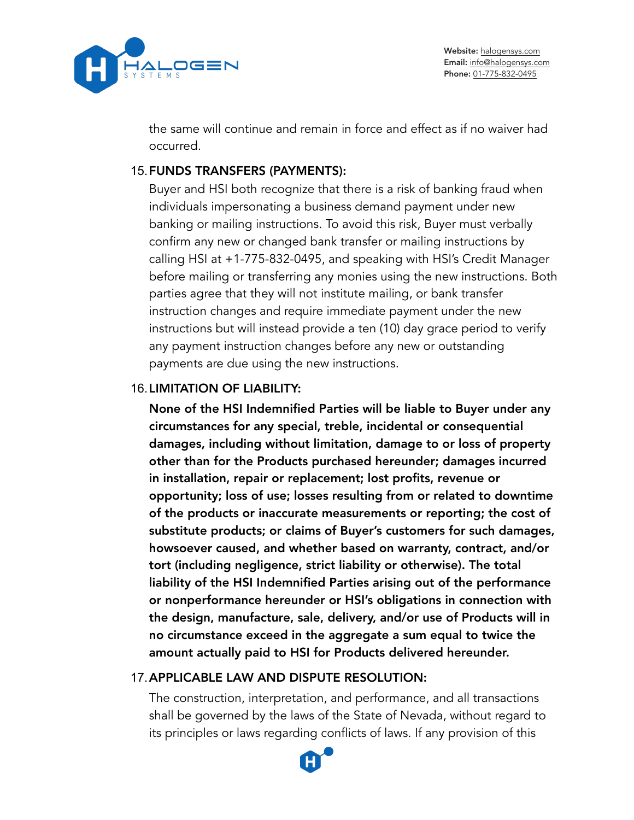

the same will continue and remain in force and effect as if no waiver had occurred.

### 15.FUNDS TRANSFERS (PAYMENTS):

Buyer and HSI both recognize that there is a risk of banking fraud when individuals impersonating a business demand payment under new banking or mailing instructions. To avoid this risk, Buyer must verbally confirm any new or changed bank transfer or mailing instructions by calling HSI at +1-775-832-0495, and speaking with HSI's Credit Manager before mailing or transferring any monies using the new instructions. Both parties agree that they will not institute mailing, or bank transfer instruction changes and require immediate payment under the new instructions but will instead provide a ten (10) day grace period to verify any payment instruction changes before any new or outstanding payments are due using the new instructions.

### 16.LIMITATION OF LIABILITY:

None of the HSI Indemnified Parties will be liable to Buyer under any circumstances for any special, treble, incidental or consequential damages, including without limitation, damage to or loss of property other than for the Products purchased hereunder; damages incurred in installation, repair or replacement; lost profits, revenue or opportunity; loss of use; losses resulting from or related to downtime of the products or inaccurate measurements or reporting; the cost of substitute products; or claims of Buyer's customers for such damages, howsoever caused, and whether based on warranty, contract, and/or tort (including negligence, strict liability or otherwise). The total liability of the HSI Indemnified Parties arising out of the performance or nonperformance hereunder or HSI's obligations in connection with the design, manufacture, sale, delivery, and/or use of Products will in no circumstance exceed in the aggregate a sum equal to twice the amount actually paid to HSI for Products delivered hereunder.

## 17.APPLICABLE LAW AND DISPUTE RESOLUTION:

The construction, interpretation, and performance, and all transactions shall be governed by the laws of the State of Nevada, without regard to its principles or laws regarding conflicts of laws. If any provision of this